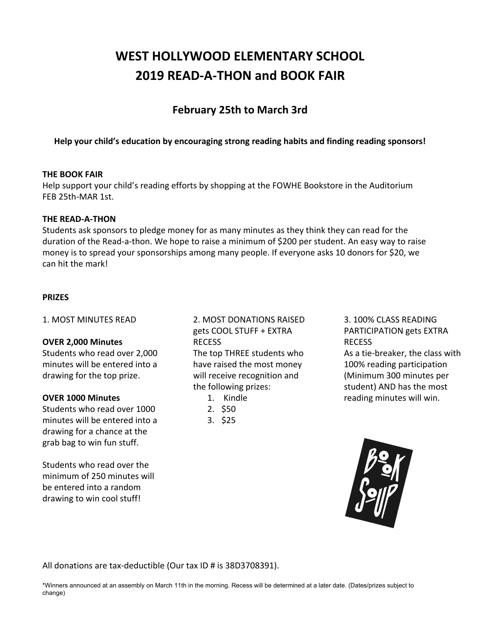# **WEST HOLLYWOOD ELEMENTARY SCHOOL 2019 READ-A-THON and BOOK FAIR**

## **February 25th to March 3rd**

**Help your child's education by encouraging strong reading habits and finding reading sponsors!**

#### **THE BOOK FAIR**

Help support your child's reading efforts by shopping at the FOWHE Bookstore in the Auditorium FEB 25th-MAR 1st.

#### **THE READ-A-THON**

Students ask sponsors to pledge money for as many minutes as they think they can read for the duration of the Read-a-thon. We hope to raise a minimum of \$200 per student. An easy way to raise money is to spread your sponsorships among many people. If everyone asks 10 donors for \$20, we can hit the mark!

#### **PRIZES**

1. MOST MINUTES READ

#### **OVER 2,000 Minutes**

Students who read over 2,000 minutes will be entered into a drawing for the top prize.

#### **OVER 1000 Minutes**

Students who read over 1000 minutes will be entered into a drawing for a chance at the grab bag to win fun stuff.

Students who read over the minimum of 250 minutes will be entered into a random drawing to win cool stuff!

## 2. MOST DONATIONS RAISED gets COOL STUFF + EXTRA RECESS

The top THREE students who have raised the most money will receive recognition and the following prizes:

- 1. Kindle
- 2. \$50
- 3. \$25

#### 3. 100% CLASS READING PARTICIPATION gets EXTRA RECESS

As a tie-breaker, the class with 100% reading participation (Minimum 300 minutes per student) AND has the most reading minutes will win.



All donations are tax-deductible (Our tax ID # is 38D3708391).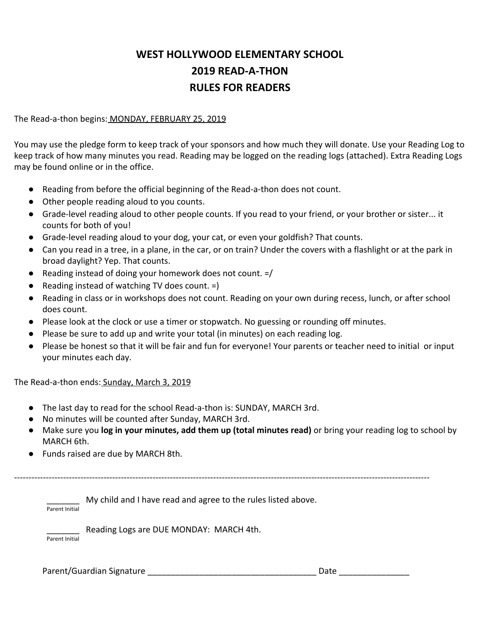## **WEST HOLLYWOOD ELEMENTARY SCHOOL 2019 READ-A-THON RULES FOR READERS**

The Read-a-thon begins: MONDAY, FEBRUARY 25, 2019

You may use the pledge form to keep track of your sponsors and how much they will donate. Use your Reading Log to keep track of how many minutes you read. Reading may be logged on the reading logs (attached). Extra Reading Logs may be found online or in the office.

- Reading from before the official beginning of the Read-a-thon does not count.
- Other people reading aloud to you counts.
- Grade-level reading aloud to other people counts. If you read to your friend, or your brother or sister... it counts for both of you!
- Grade-level reading aloud to your dog, your cat, or even your goldfish? That counts.
- Can you read in a tree, in a plane, in the car, or on train? Under the covers with a flashlight or at the park in broad daylight? Yep. That counts.
- Reading instead of doing your homework does not count.  $=$ /
- Reading instead of watching TV does count. =)
- Reading in class or in workshops does not count. Reading on your own during recess, lunch, or after school does count.
- Please look at the clock or use a timer or stopwatch. No guessing or rounding off minutes.
- Please be sure to add up and write your total (in minutes) on each reading log.
- Please be honest so that it will be fair and fun for everyone! Your parents or teacher need to initial or input your minutes each day.

The Read-a-thon ends: Sunday, March 3, 2019

- The last day to read for the school Read-a-thon is: SUNDAY, MARCH 3rd.
- No minutes will be counted after Sunday, MARCH 3rd.
- Make sure you **log in your minutes, add them up (total minutes read)** or bring your reading log to school by MARCH 6th.
- Funds raised are due by MARCH 8th.

------------------------------------------------------------------------------------------------------------------------------------------------

My child and I have read and agree to the rules listed above. Parent Initial

Reading Logs are DUE MONDAY: MARCH 4th.

Parent Initial

Parent/Guardian Signature \_\_\_\_\_\_\_\_\_\_\_\_\_\_\_\_\_\_\_\_\_\_\_\_\_\_\_\_\_\_\_\_\_\_\_\_ Date \_\_\_\_\_\_\_\_\_\_\_\_\_\_\_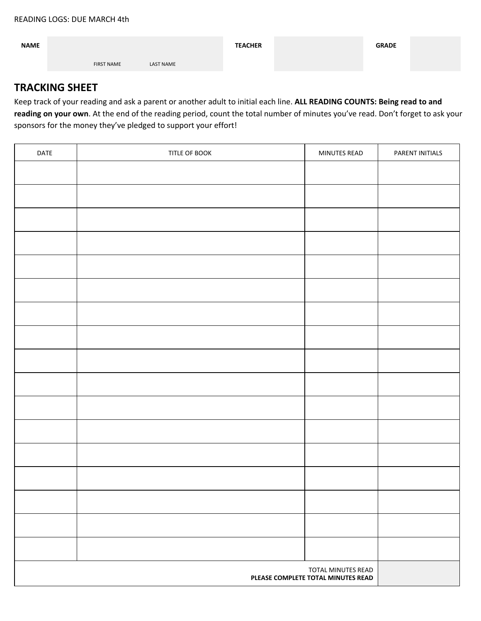| <b>NAME</b> |                   |                  | <b>TEACHER</b> | <b>GRADE</b> |  |
|-------------|-------------------|------------------|----------------|--------------|--|
|             | <b>FIRST NAME</b> | <b>LAST NAME</b> |                |              |  |

## **TRACKING SHEET**

Keep track of your reading and ask a parent or another adult to initial each line. **ALL READING COUNTS: Being read to and reading on your own**. At the end of the reading period, count the total number of minutes you've read. Don't forget to ask your sponsors for the money they've pledged to support your effort!

| DATE | TITLE OF BOOK | MINUTES READ | PARENT INITIALS |
|------|---------------|--------------|-----------------|
|      |               |              |                 |
|      |               |              |                 |
|      |               |              |                 |
|      |               |              |                 |
|      |               |              |                 |
|      |               |              |                 |
|      |               |              |                 |
|      |               |              |                 |
|      |               |              |                 |
|      |               |              |                 |
|      |               |              |                 |
|      |               |              |                 |
|      |               |              |                 |
|      |               |              |                 |
|      |               |              |                 |
|      |               |              |                 |
|      |               |              |                 |
|      |               |              |                 |